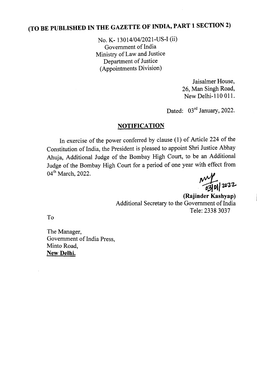## (TO BE PUBLISHED IN THE GAZETTE OF INDIA, PART 1 SECTION 2)

No. K- 13014/04/2021-US-I (ii) Government of India Ministry of Law and Justice Department of Justice (Appointments Division)

> Jaisalmer House, 26, Man Singh Road, New Delhi-110 011.

Dated: 03<sup>rd</sup> January, 2022.

## NOTIFICATION

In exercise of the power conferred by clause (1) of Article 224 of the Constitution of India, the President is pleased to appoint Shri Justice Abhay Ahuja, Additional Judge of the Bombay High Court, to be an Additional Judge of the Bombay High Court for a period of one year with effect from 04<sup>th</sup> March, 2022.

 $~10010000$ 

(Rajinder Kashyap) Additional Secretary to the Government of India Tele: 2338 3037

To

The Manager, Government of India Press, Minto Road, New Delhi.